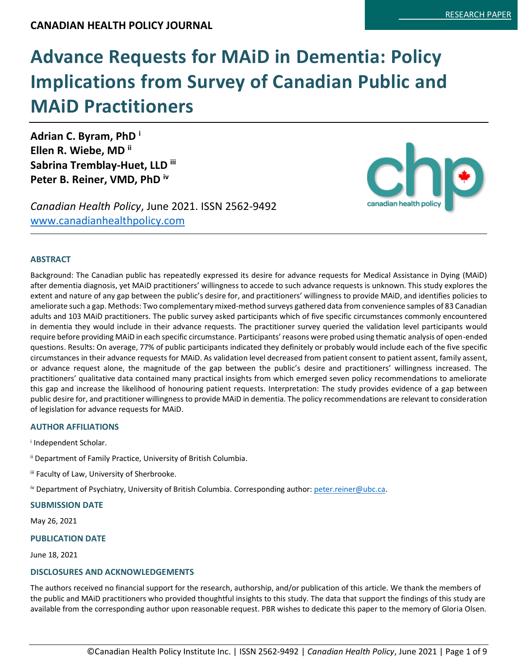# **Advance Requests for MAiD in Dementia: Policy Implications from Survey of Canadian Public and MAiD Practitioners**

**Adrian C. Byram, PhD <sup>i</sup> Ellen R. Wiebe, MD ii Sabrina Tremblay-Huet, LLD iii Peter B. Reiner, VMD, PhD iv**

*Canadian Health Policy*, June 2021. ISSN 2562-9492 [www.canadianhealthpolicy.com](http://www.canadianhealthpolicy.com/)



### **ABSTRACT**

Background: The Canadian public has repeatedly expressed its desire for advance requests for Medical Assistance in Dying (MAiD) after dementia diagnosis, yet MAiD practitioners' willingness to accede to such advance requests is unknown. This study explores the extent and nature of any gap between the public's desire for, and practitioners' willingness to provide MAiD, and identifies policies to ameliorate such a gap. Methods: Two complementary mixed-method surveys gathered data from convenience samples of 83 Canadian adults and 103 MAiD practitioners. The public survey asked participants which of five specific circumstances commonly encountered in dementia they would include in their advance requests. The practitioner survey queried the validation level participants would require before providing MAiD in each specific circumstance. Participants' reasons were probed using thematic analysis of open-ended questions. Results: On average, 77% of public participants indicated they definitely or probably would include each of the five specific circumstances in their advance requests for MAiD. As validation level decreased from patient consent to patient assent, family assent, or advance request alone, the magnitude of the gap between the public's desire and practitioners' willingness increased. The practitioners' qualitative data contained many practical insights from which emerged seven policy recommendations to ameliorate this gap and increase the likelihood of honouring patient requests. Interpretation: The study provides evidence of a gap between public desire for, and practitioner willingness to provide MAiD in dementia. The policy recommendations are relevant to consideration of legislation for advance requests for MAiD.

### **AUTHOR AFFILIATIONS**

i Independent Scholar.

- ii Department of Family Practice, University of British Columbia.
- iii Faculty of Law, University of Sherbrooke.
- iv Department of Psychiatry, University of British Columbia. Corresponding author[: peter.reiner@ubc.ca.](mailto:peter.reiner@ubc.ca)

### **SUBMISSION DATE**

May 26, 2021

### **PUBLICATION DATE**

June 18, 2021

## **DISCLOSURES AND ACKNOWLEDGEMENTS**

The authors received no financial support for the research, authorship, and/or publication of this article. We thank the members of the public and MAiD practitioners who provided thoughtful insights to this study. The data that support the findings of this study are available from the corresponding author upon reasonable request. PBR wishes to dedicate this paper to the memory of Gloria Olsen.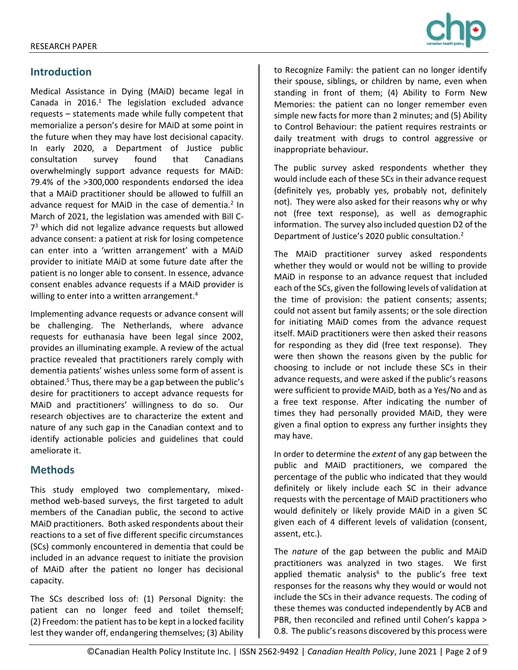

# **Introduction**

Medical Assistance in Dying (MAiD) became legal in Canada in  $2016<sup>1</sup>$  The legislation excluded advance requests – statements made while fully competent that memorialize a person's desire for MAiD at some point in the future when they may have lost decisional capacity. In early 2020, a Department of Justice public consultation survey found that Canadians overwhelmingly support advance requests for MAiD: 79.4% of the >300,000 respondents endorsed the idea that a MAiD practitioner should be allowed to fulfill an advance request for MAiD in the case of dementia.<sup>2</sup> In March of 2021, the legislation was amended with Bill C-7 <sup>3</sup> which did not legalize advance requests but allowed advance consent: a patient at risk for losing competence can enter into a 'written arrangement' with a MAiD provider to initiate MAiD at some future date after the patient is no longer able to consent. In essence, advance consent enables advance requests if a MAiD provider is willing to enter into a written arrangement.<sup>4</sup>

Implementing advance requests or advance consent will be challenging. The Netherlands, where advance requests for euthanasia have been legal since 2002, provides an illuminating example. A review of the actual practice revealed that practitioners rarely comply with dementia patients' wishes unless some form of assent is obtained.<sup>5</sup> Thus, there may be a gap between the public's desire for practitioners to accept advance requests for MAiD and practitioners' willingness to do so. Our research objectives are to characterize the extent and nature of any such gap in the Canadian context and to identify actionable policies and guidelines that could ameliorate it.

# **Methods**

This study employed two complementary, mixedmethod web-based surveys, the first targeted to adult members of the Canadian public, the second to active MAiD practitioners. Both asked respondents about their reactions to a set of five different specific circumstances (SCs) commonly encountered in dementia that could be included in an advance request to initiate the provision of MAiD after the patient no longer has decisional capacity.

The SCs described loss of: (1) Personal Dignity: the patient can no longer feed and toilet themself; (2) Freedom: the patient has to be kept in a locked facility lest they wander off, endangering themselves; (3) Ability to Recognize Family: the patient can no longer identify their spouse, siblings, or children by name, even when standing in front of them; (4) Ability to Form New Memories: the patient can no longer remember even simple new facts for more than 2 minutes; and (5) Ability to Control Behaviour: the patient requires restraints or daily treatment with drugs to control aggressive or inappropriate behaviour.

The public survey asked respondents whether they would include each of these SCs in their advance request (definitely yes, probably yes, probably not, definitely not). They were also asked for their reasons why or why not (free text response), as well as demographic information. The survey also included question D2 of the Department of Justice's 2020 public consultation.<sup>2</sup>

The MAiD practitioner survey asked respondents whether they would or would not be willing to provide MAiD in response to an advance request that included each of the SCs, given the following levels of validation at the time of provision: the patient consents; assents; could not assent but family assents; or the sole direction for initiating MAiD comes from the advance request itself. MAiD practitioners were then asked their reasons for responding as they did (free text response). They were then shown the reasons given by the public for choosing to include or not include these SCs in their advance requests, and were asked if the public's reasons were sufficient to provide MAiD, both as a Yes/No and as a free text response. After indicating the number of times they had personally provided MAiD, they were given a final option to express any further insights they may have.

In order to determine the *extent* of any gap between the public and MAiD practitioners, we compared the percentage of the public who indicated that they would definitely or likely include each SC in their advance requests with the percentage of MAiD practitioners who would definitely or likely provide MAiD in a given SC given each of 4 different levels of validation (consent, assent, etc.).

The *nature* of the gap between the public and MAiD practitioners was analyzed in two stages. We first applied thematic analysis<sup>6</sup> to the public's free text responses for the reasons why they would or would not include the SCs in their advance requests. The coding of these themes was conducted independently by ACB and PBR, then reconciled and refined until Cohen's kappa > 0.8. The public's reasons discovered by this process were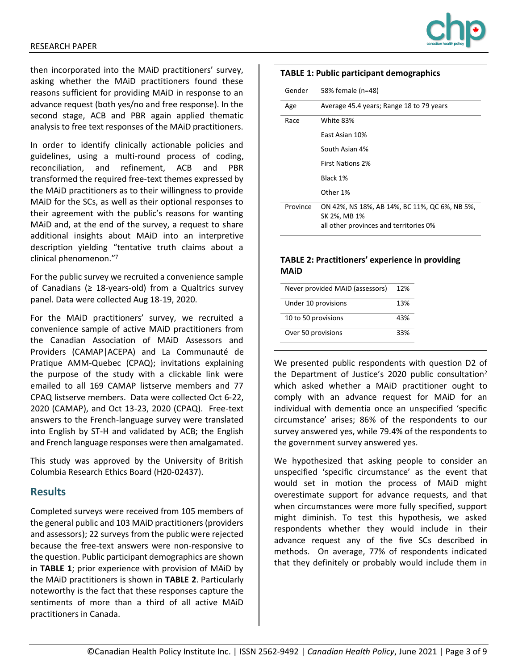

then incorporated into the MAiD practitioners' survey, asking whether the MAiD practitioners found these reasons sufficient for providing MAiD in response to an advance request (both yes/no and free response). In the second stage, ACB and PBR again applied thematic analysis to free text responses of the MAiD practitioners.

In order to identify clinically actionable policies and guidelines, using a multi-round process of coding, reconciliation, and refinement, ACB and PBR transformed the required free-text themes expressed by the MAiD practitioners as to their willingness to provide MAiD for the SCs, as well as their optional responses to their agreement with the public's reasons for wanting MAiD and, at the end of the survey, a request to share additional insights about MAiD into an interpretive description yielding "tentative truth claims about a clinical phenomenon."<sup>7</sup>

For the public survey we recruited a convenience sample of Canadians ( $\geq 18$ -years-old) from a Qualtrics survey panel. Data were collected Aug 18-19, 2020.

For the MAiD practitioners' survey, we recruited a convenience sample of active MAiD practitioners from the Canadian Association of MAiD Assessors and Providers (CAMAP|ACEPA) and La Communauté de Pratique AMM-Quebec (CPAQ); invitations explaining the purpose of the study with a clickable link were emailed to all 169 CAMAP listserve members and 77 CPAQ listserve members. Data were collected Oct 6-22, 2020 (CAMAP), and Oct 13-23, 2020 (CPAQ). Free-text answers to the French-language survey were translated into English by ST-H and validated by ACB; the English and French language responses were then amalgamated.

This study was approved by the University of British Columbia Research Ethics Board (H20-02437).

# **Results**

Completed surveys were received from 105 members of the general public and 103 MAiD practitioners (providers and assessors); 22 surveys from the public were rejected because the free-text answers were non-responsive to the question. Public participant demographics are shown in **TABLE 1**; prior experience with provision of MAiD by the MAiD practitioners is shown in **TABLE 2**. Particularly noteworthy is the fact that these responses capture the sentiments of more than a third of all active MAiD practitioners in Canada.

### **TABLE 1: Public participant demographics**

| Gender   | 58% female (n=48)                                                                                       |
|----------|---------------------------------------------------------------------------------------------------------|
| Age      | Average 45.4 years; Range 18 to 79 years                                                                |
| Race     | White 83%                                                                                               |
|          | East Asian 10%                                                                                          |
|          | South Asian 4%                                                                                          |
|          | <b>First Nations 2%</b>                                                                                 |
|          | Black 1%                                                                                                |
|          | Other 1%                                                                                                |
| Province | ON 42%, NS 18%, AB 14%, BC 11%, QC 6%, NB 5%,<br>SK 2%, MB 1%<br>all other provinces and territories 0% |

### **TABLE 2: Practitioners' experience in providing MAiD**

| Never provided MAID (assessors) | 12% |
|---------------------------------|-----|
| Under 10 provisions             | 13% |
| 10 to 50 provisions             | 43% |
| Over 50 provisions              | 33% |

We presented public respondents with question D2 of the Department of Justice's 2020 public consultation<sup>2</sup> which asked whether a MAiD practitioner ought to comply with an advance request for MAiD for an individual with dementia once an unspecified 'specific circumstance' arises; 86% of the respondents to our survey answered yes, while 79.4% of the respondents to the government survey answered yes.

We hypothesized that asking people to consider an unspecified 'specific circumstance' as the event that would set in motion the process of MAiD might overestimate support for advance requests, and that when circumstances were more fully specified, support might diminish. To test this hypothesis, we asked respondents whether they would include in their advance request any of the five SCs described in methods. On average, 77% of respondents indicated that they definitely or probably would include them in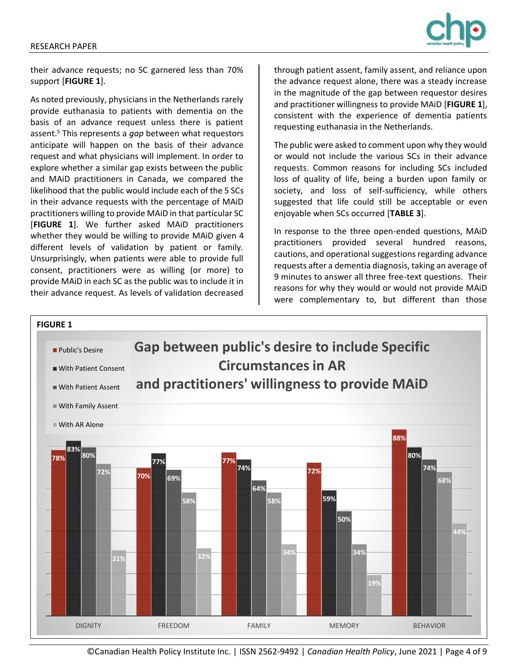

their advance requests; no SC garnered less than 70% support [**FIGURE 1**].

As noted previously, physicians in the Netherlands rarely provide euthanasia to patients with dementia on the basis of an advance request unless there is patient assent.<sup>5</sup> This represents a *gap* between what requestors anticipate will happen on the basis of their advance request and what physicians will implement. In order to explore whether a similar gap exists between the public and MAiD practitioners in Canada, we compared the likelihood that the public would include each of the 5 SCs in their advance requests with the percentage of MAiD practitioners willing to provide MAiD in that particular SC [**FIGURE 1**]. We further asked MAiD practitioners whether they would be willing to provide MAiD given 4 different levels of validation by patient or family. Unsurprisingly, when patients were able to provide full consent, practitioners were as willing (or more) to provide MAiD in each SC as the public was to include it in their advance request. As levels of validation decreased

through patient assent, family assent, and reliance upon the advance request alone, there was a steady increase in the magnitude of the gap between requestor desires and practitioner willingness to provide MAiD [**FIGURE 1**], consistent with the experience of dementia patients requesting euthanasia in the Netherlands.

The public were asked to comment upon why they would or would not include the various SCs in their advance requests. Common reasons for including SCs included loss of quality of life, being a burden upon family or society, and loss of self-sufficiency, while others suggested that life could still be acceptable or even enjoyable when SCs occurred [**TABLE 3**].

In response to the three open-ended questions, MAiD practitioners provided several hundred reasons, cautions, and operational suggestions regarding advance requests after a dementia diagnosis, taking an average of 9 minutes to answer all three free-text questions. Their reasons for why they would or would not provide MAiD were complementary to, but different than those



©Canadian Health Policy Institute Inc. | ISSN 2562-9492 | *Canadian Health Policy*, June 2021 | Page 4 of 9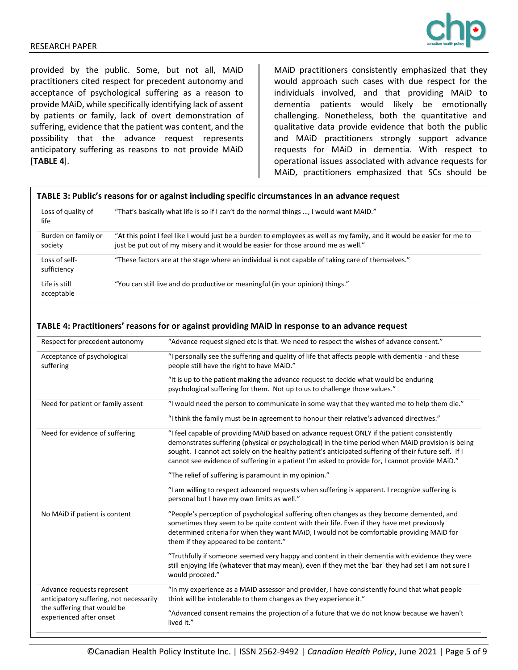

provided by the public. Some, but not all, MAiD practitioners cited respect for precedent autonomy and acceptance of psychological suffering as a reason to provide MAiD, while specifically identifying lack of assent by patients or family, lack of overt demonstration of suffering, evidence that the patient was content, and the possibility that the advance request represents anticipatory suffering as reasons to not provide MAiD [**TABLE 4**].

MAiD practitioners consistently emphasized that they would approach such cases with due respect for the individuals involved, and that providing MAiD to dementia patients would likely be emotionally challenging. Nonetheless, both the quantitative and qualitative data provide evidence that both the public and MAiD practitioners strongly support advance requests for MAiD in dementia. With respect to operational issues associated with advance requests for MAiD, practitioners emphasized that SCs should be

### **TABLE 3: Public's reasons for or against including specific circumstances in an advance request**

| Loss of quality of<br>life     | "That's basically what life is so if I can't do the normal things , I would want MAID."                                                                                                                      |
|--------------------------------|--------------------------------------------------------------------------------------------------------------------------------------------------------------------------------------------------------------|
| Burden on family or<br>society | "At this point I feel like I would just be a burden to employees as well as my family, and it would be easier for me to<br>just be put out of my misery and it would be easier for those around me as well." |
| Loss of self-<br>sufficiency   | "These factors are at the stage where an individual is not capable of taking care of themselves."                                                                                                            |
| Life is still<br>acceptable    | "You can still live and do productive or meaningful (in your opinion) things."                                                                                                                               |

### Respect for precedent autonomy "Advance request signed etc is that. We need to respect the wishes of advance consent." Acceptance of psychological suffering "I personally see the suffering and quality of life that affects people with dementia - and these people still have the right to have MAiD." "It is up to the patient making the advance request to decide what would be enduring psychological suffering for them. Not up to us to challenge those values." Need for patient or family assent "I would need the person to communicate in some way that they wanted me to help them die." "I think the family must be in agreement to honour their relative's advanced directives." Need for evidence of suffering "I feel capable of providing MAiD based on advance request ONLY if the patient consistently demonstrates suffering (physical or psychological) in the time period when MAiD provision is being sought. I cannot act solely on the healthy patient's anticipated suffering of their future self. If I cannot see evidence of suffering in a patient I'm asked to provide for, I cannot provide MAiD." "The relief of suffering is paramount in my opinion." "I am willing to respect advanced requests when suffering is apparent. I recognize suffering is personal but I have my own limits as well." No MAiD if patient is content "People's perception of psychological suffering often changes as they become demented, and sometimes they seem to be quite content with their life. Even if they have met previously determined criteria for when they want MAiD, I would not be comfortable providing MAiD for them if they appeared to be content." "Truthfully if someone seemed very happy and content in their dementia with evidence they were still enjoying life (whatever that may mean), even if they met the 'bar' they had set I am not sure I would proceed." Advance requests represent anticipatory suffering, not necessarily the suffering that would be experienced after onset "In my experience as a MAID assessor and provider, I have consistently found that what people think will be intolerable to them changes as they experience it." "Advanced consent remains the projection of a future that we do not know because we haven't lived it."

#### **TABLE 4: Practitioners' reasons for or against providing MAiD in response to an advance request**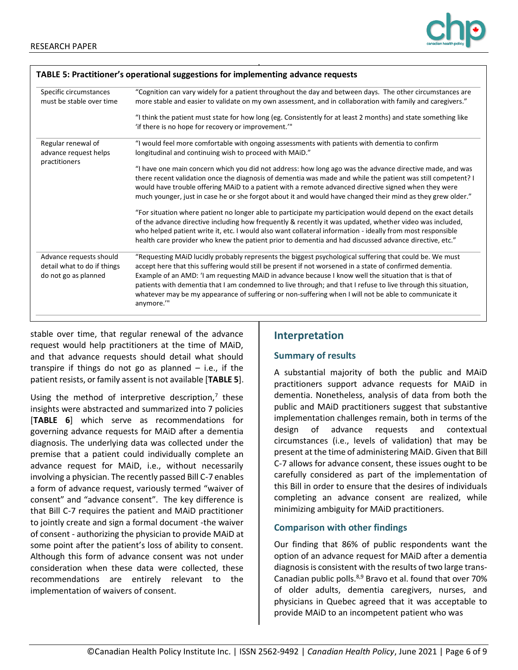

| Specific circumstances<br>must be stable over time                             | "Cognition can vary widely for a patient throughout the day and between days. The other circumstances are<br>more stable and easier to validate on my own assessment, and in collaboration with family and caregivers."<br>"I think the patient must state for how long (eg. Consistently for at least 2 months) and state something like<br>'if there is no hope for recovery or improvement.'"                                                                                                                                                                    |  |
|--------------------------------------------------------------------------------|---------------------------------------------------------------------------------------------------------------------------------------------------------------------------------------------------------------------------------------------------------------------------------------------------------------------------------------------------------------------------------------------------------------------------------------------------------------------------------------------------------------------------------------------------------------------|--|
|                                                                                |                                                                                                                                                                                                                                                                                                                                                                                                                                                                                                                                                                     |  |
| practitioners                                                                  | "I have one main concern which you did not address: how long ago was the advance directive made, and was<br>there recent validation once the diagnosis of dementia was made and while the patient was still competent? I<br>would have trouble offering MAiD to a patient with a remote advanced directive signed when they were<br>much younger, just in case he or she forgot about it and would have changed their mind as they grew older."                                                                                                                     |  |
|                                                                                | "For situation where patient no longer able to participate my participation would depend on the exact details<br>of the advance directive including how frequently & recently it was updated, whether video was included,<br>who helped patient write it, etc. I would also want collateral information - ideally from most responsible<br>health care provider who knew the patient prior to dementia and had discussed advance directive, etc."                                                                                                                   |  |
| Advance requests should<br>detail what to do if things<br>do not go as planned | "Requesting MAiD lucidly probably represents the biggest psychological suffering that could be. We must<br>accept here that this suffering would still be present if not worsened in a state of confirmed dementia.<br>Example of an AMD: 'I am requesting MAiD in advance because I know well the situation that is that of<br>patients with dementia that I am condemned to live through; and that I refuse to live through this situation,<br>whatever may be my appearance of suffering or non-suffering when I will not be able to communicate it<br>anymore." |  |

stable over time, that regular renewal of the advance request would help practitioners at the time of MAiD, and that advance requests should detail what should transpire if things do not go as planned  $-$  i.e., if the patient resists, or family assent is not available [**TABLE 5**].

Using the method of interpretive description, $7$  these insights were abstracted and summarized into 7 policies [**TABLE 6**] which serve as recommendations for governing advance requests for MAiD after a dementia diagnosis. The underlying data was collected under the premise that a patient could individually complete an advance request for MAiD, i.e., without necessarily involving a physician. The recently passed Bill C-7 enables a form of advance request, variously termed "waiver of consent" and "advance consent". The key difference is that Bill C-7 requires the patient and MAiD practitioner to jointly create and sign a formal document -the waiver of consent - authorizing the physician to provide MAiD at some point after the patient's loss of ability to consent. Although this form of advance consent was not under consideration when these data were collected, these recommendations are entirely relevant to the implementation of waivers of consent.

# **Interpretation**

## **Summary of results**

A substantial majority of both the public and MAiD practitioners support advance requests for MAiD in dementia. Nonetheless, analysis of data from both the public and MAiD practitioners suggest that substantive implementation challenges remain, both in terms of the design of advance requests and contextual circumstances (i.e., levels of validation) that may be present at the time of administering MAiD. Given that Bill C-7 allows for advance consent, these issues ought to be carefully considered as part of the implementation of this Bill in order to ensure that the desires of individuals completing an advance consent are realized, while minimizing ambiguity for MAiD practitioners.

# **Comparison with other findings**

Our finding that 86% of public respondents want the option of an advance request for MAiD after a dementia diagnosis is consistent with the results of two large trans-Canadian public polls.8,9 Bravo et al. found that over 70% of older adults, dementia caregivers, nurses, and physicians in Quebec agreed that it was acceptable to provide MAiD to an incompetent patient who was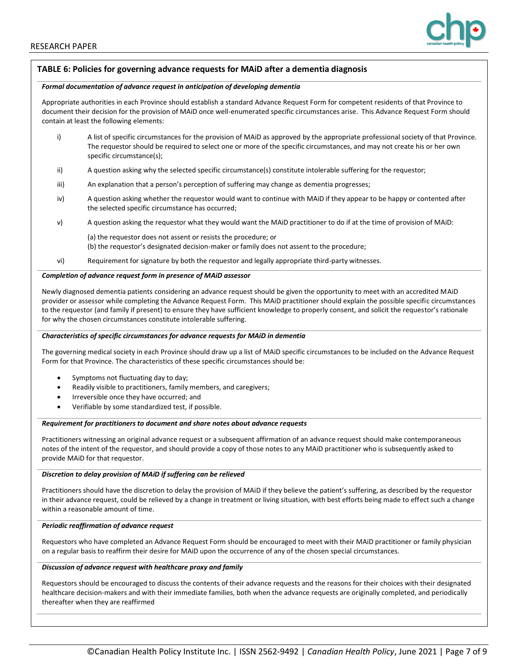

### **TABLE 6: Policies for governing advance requests for MAiD after a dementia diagnosis**

#### *Formal documentation of advance request in anticipation of developing dementia*

Appropriate authorities in each Province should establish a standard Advance Request Form for competent residents of that Province to document their decision for the provision of MAiD once well-enumerated specific circumstances arise. This Advance Request Form should contain at least the following elements:

- i) A list of specific circumstances for the provision of MAiD as approved by the appropriate professional society of that Province. The requestor should be required to select one or more of the specific circumstances, and may not create his or her own specific circumstance(s);
- ii) A question asking why the selected specific circumstance(s) constitute intolerable suffering for the requestor;
- iii) An explanation that a person's perception of suffering may change as dementia progresses;
- iv) A question asking whether the requestor would want to continue with MAiD if they appear to be happy or contented after the selected specific circumstance has occurred;
- v) A question asking the requestor what they would want the MAiD practitioner to do if at the time of provision of MAiD:

(a) the requestor does not assent or resists the procedure; or

- (b) the requestor's designated decision-maker or family does not assent to the procedure;
- vi) Requirement for signature by both the requestor and legally appropriate third-party witnesses.

### *Completion of advance request form in presence of MAiD assessor*

Newly diagnosed dementia patients considering an advance request should be given the opportunity to meet with an accredited MAiD provider or assessor while completing the Advance Request Form. This MAiD practitioner should explain the possible specific circumstances to the requestor (and family if present) to ensure they have sufficient knowledge to properly consent, and solicit the requestor's rationale for why the chosen circumstances constitute intolerable suffering.

### *Characteristics of specific circumstances for advance requests for MAiD in dementia*

The governing medical society in each Province should draw up a list of MAiD specific circumstances to be included on the Advance Request Form for that Province. The characteristics of these specific circumstances should be:

- Symptoms not fluctuating day to day;
- Readily visible to practitioners, family members, and caregivers;
- Irreversible once they have occurred; and
- Verifiable by some standardized test, if possible.

#### *Requirement for practitioners to document and share notes about advance requests*

Practitioners witnessing an original advance request or a subsequent affirmation of an advance request should make contemporaneous notes of the intent of the requestor, and should provide a copy of those notes to any MAiD practitioner who is subsequently asked to provide MAiD for that requestor.

### *Discretion to delay provision of MAiD if suffering can be relieved*

Practitioners should have the discretion to delay the provision of MAiD if they believe the patient's suffering, as described by the requestor in their advance request, could be relieved by a change in treatment or living situation, with best efforts being made to effect such a change within a reasonable amount of time.

### *Periodic reaffirmation of advance request*

Requestors who have completed an Advance Request Form should be encouraged to meet with their MAiD practitioner or family physician on a regular basis to reaffirm their desire for MAiD upon the occurrence of any of the chosen special circumstances.

### *Discussion of advance request with healthcare proxy and family*

Requestors should be encouraged to discuss the contents of their advance requests and the reasons for their choices with their designated healthcare decision-makers and with their immediate families, both when the advance requests are originally completed, and periodically thereafter when they are reaffirmed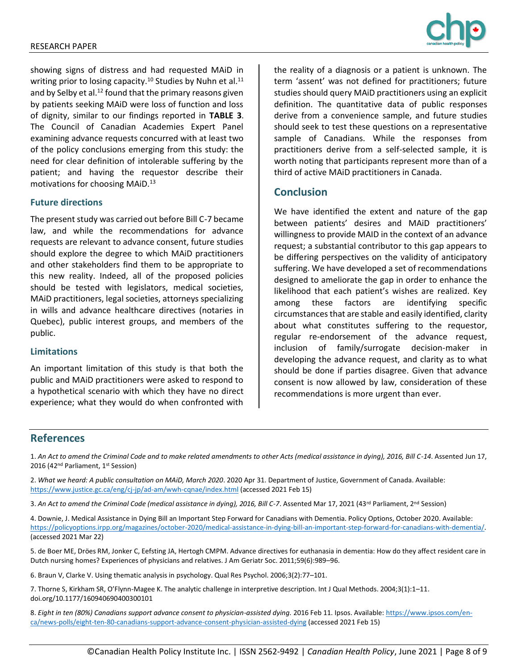

showing signs of distress and had requested MAiD in writing prior to losing capacity.<sup>10</sup> Studies by Nuhn et al.<sup>11</sup> and by Selby et al.<sup>12</sup> found that the primary reasons given by patients seeking MAiD were loss of function and loss of dignity, similar to our findings reported in **TABLE 3**. The Council of Canadian Academies Expert Panel examining advance requests concurred with at least two of the policy conclusions emerging from this study: the need for clear definition of intolerable suffering by the patient; and having the requestor describe their motivations for choosing MAiD.<sup>13</sup>

### **Future directions**

The present study was carried out before Bill C-7 became law, and while the recommendations for advance requests are relevant to advance consent, future studies should explore the degree to which MAiD practitioners and other stakeholders find them to be appropriate to this new reality. Indeed, all of the proposed policies should be tested with legislators, medical societies, MAiD practitioners, legal societies, attorneys specializing in wills and advance healthcare directives (notaries in Quebec), public interest groups, and members of the public.

### **Limitations**

An important limitation of this study is that both the public and MAiD practitioners were asked to respond to a hypothetical scenario with which they have no direct experience; what they would do when confronted with the reality of a diagnosis or a patient is unknown. The term 'assent' was not defined for practitioners; future studies should query MAiD practitioners using an explicit definition. The quantitative data of public responses derive from a convenience sample, and future studies should seek to test these questions on a representative sample of Canadians. While the responses from practitioners derive from a self-selected sample, it is worth noting that participants represent more than of a third of active MAiD practitioners in Canada.

# **Conclusion**

We have identified the extent and nature of the gap between patients' desires and MAiD practitioners' willingness to provide MAID in the context of an advance request; a substantial contributor to this gap appears to be differing perspectives on the validity of anticipatory suffering. We have developed a set of recommendations designed to ameliorate the gap in order to enhance the likelihood that each patient's wishes are realized. Key among these factors are identifying specific circumstances that are stable and easily identified, clarity about what constitutes suffering to the requestor, regular re-endorsement of the advance request, inclusion of family/surrogate decision-maker in developing the advance request, and clarity as to what should be done if parties disagree. Given that advance consent is now allowed by law, consideration of these recommendations is more urgent than ever.

## **References**

1. *An Act to amend the Criminal Code and to make related amendments to other Acts (medical assistance in dying), 2016, Bill C-14*. Assented Jun 17, 2016 (42<sup>nd</sup> Parliament, 1<sup>st</sup> Session)

2. *What we heard: A public consultation on MAiD, March 2020*. 2020 Apr 31. Department of Justice, Government of Canada. Available: <https://www.justice.gc.ca/eng/cj-jp/ad-am/wwh-cqnae/index.html> (accessed 2021 Feb 15)

3. An Act to amend the Criminal Code (medical assistance in dying), 2016, Bill C-7. Assented Mar 17, 2021 (43<sup>rd</sup> Parliament, 2<sup>nd</sup> Session)

4. Downie, J. Medical Assistance in Dying Bill an Important Step Forward for Canadians with Dementia. Policy Options, October 2020. Available: [https://policyoptions.irpp.org/magazines/october-2020/medical-assistance-in-dying-bill-an-important-step-forward-for-canadians-with-dementia/.](https://policyoptions.irpp.org/magazines/october-2020/medical-assistance-in-dying-bill-an-important-step-forward-for-canadians-with-dementia/)  (accessed 2021 Mar 22)

5. de Boer ME, Dröes RM, Jonker C, Eefsting JA, Hertogh CMPM. Advance directives for euthanasia in dementia: How do they affect resident care in Dutch nursing homes? Experiences of physicians and relatives. J Am Geriatr Soc. 2011;59(6):989–96.

6. Braun V, Clarke V. Using thematic analysis in psychology. Qual Res Psychol. 2006;3(2):77–101.

7. Thorne S, Kirkham SR, O'Flynn-Magee K. The analytic challenge in interpretive description. Int J Qual Methods. 2004;3(1):1–11. doi.org/10.1177/160940690400300101

8. Eight in ten (80%) Canadians support advance consent to physician-assisted dying. 2016 Feb 11. Ipsos. Available[: https://www.ipsos.com/en](https://www.ipsos.com/en-ca/news-polls/eight-ten-80-canadians-support-advance-consent-physician-assisted-dying)[ca/news-polls/eight-ten-80-canadians-support-advance-consent-physician-assisted-dying](https://www.ipsos.com/en-ca/news-polls/eight-ten-80-canadians-support-advance-consent-physician-assisted-dying) (accessed 2021 Feb 15)